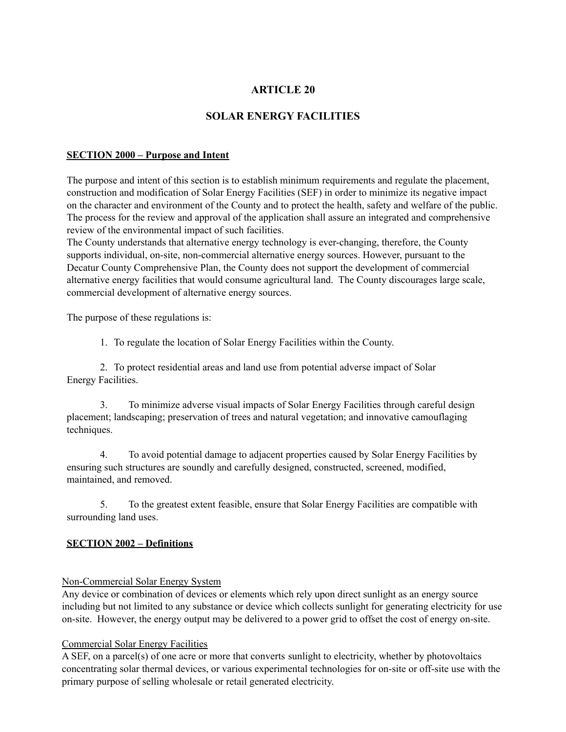## **ARTICLE 20**

# **SOLAR ENERGY FACILITIES**

#### **SECTION 2000 – Purpose and Intent**

The purpose and intent of this section is to establish minimum requirements and regulate the placement, construction and modification of Solar Energy Facilities (SEF) in order to minimize its negative impact on the character and environment of the County and to protect the health, safety and welfare of the public. The process for the review and approval of the application shall assure an integrated and comprehensive review of the environmental impact of such facilities.

The County understands that alternative energy technology is ever-changing, therefore, the County supports individual, on-site, non-commercial alternative energy sources. However, pursuant to the Decatur County Comprehensive Plan, the County does not support the development of commercial alternative energy facilities that would consume agricultural land. The County discourages large scale, commercial development of alternative energy sources.

The purpose of these regulations is:

1. To regulate the location of Solar Energy Facilities within the County.

2. To protect residential areas and land use from potential adverse impact of Solar Energy Facilities.

3. To minimize adverse visual impacts of Solar Energy Facilities through careful design placement; landscaping; preservation of trees and natural vegetation; and innovative camouflaging techniques.

4. To avoid potential damage to adjacent properties caused by Solar Energy Facilities by ensuring such structures are soundly and carefully designed, constructed, screened, modified, maintained, and removed.

5. To the greatest extent feasible, ensure that Solar Energy Facilities are compatible with surrounding land uses.

#### **SECTION 2002 – Definitions**

#### Non-Commercial Solar Energy System

Any device or combination of devices or elements which rely upon direct sunlight as an energy source including but not limited to any substance or device which collects sunlight for generating electricity for use on-site. However, the energy output may be delivered to a power grid to offset the cost of energy on-site.

#### Commercial Solar Energy Facilities

A SEF, on a parcel(s) of one acre or more that converts sunlight to electricity, whether by photovoltaics concentrating solar thermal devices, or various experimental technologies for on-site or off-site use with the primary purpose of selling wholesale or retail generated electricity.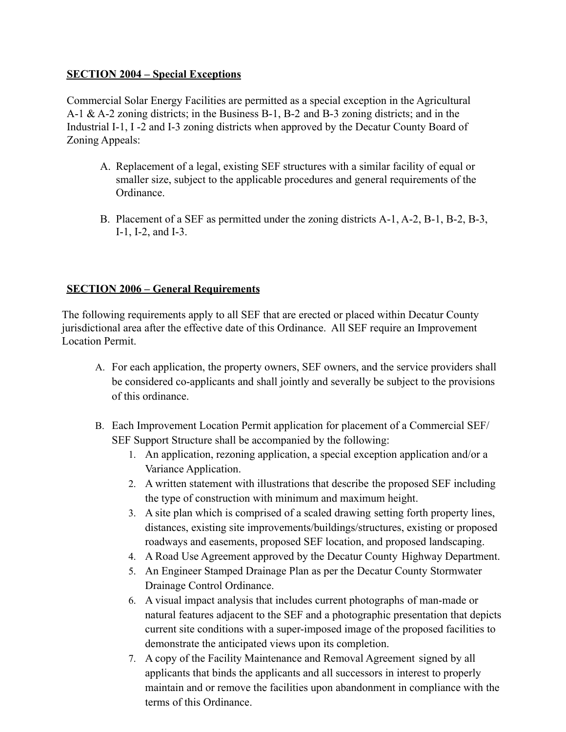# **SECTION 2004 – Special Exceptions**

Commercial Solar Energy Facilities are permitted as a special exception in the Agricultural A-1 & A-2 zoning districts; in the Business B-1, B-2 and B-3 zoning districts; and in the Industrial I-1, I -2 and I-3 zoning districts when approved by the Decatur County Board of Zoning Appeals:

- A. Replacement of a legal, existing SEF structures with a similar facility of equal or smaller size, subject to the applicable procedures and general requirements of the Ordinance.
- B. Placement of a SEF as permitted under the zoning districts A-1, A-2, B-1, B-2, B-3, I-1, I-2, and I-3.

# **SECTION 2006 – General Requirements**

The following requirements apply to all SEF that are erected or placed within Decatur County jurisdictional area after the effective date of this Ordinance. All SEF require an Improvement Location Permit.

- A. For each application, the property owners, SEF owners, and the service providers shall be considered co-applicants and shall jointly and severally be subject to the provisions of this ordinance.
- B. Each Improvement Location Permit application for placement of a Commercial SEF/ SEF Support Structure shall be accompanied by the following:
	- 1. An application, rezoning application, a special exception application and/or a Variance Application.
	- 2. A written statement with illustrations that describe the proposed SEF including the type of construction with minimum and maximum height.
	- 3. A site plan which is comprised of a scaled drawing setting forth property lines, distances, existing site improvements/buildings/structures, existing or proposed roadways and easements, proposed SEF location, and proposed landscaping.
	- 4. A Road Use Agreement approved by the Decatur County Highway Department.
	- 5. An Engineer Stamped Drainage Plan as per the Decatur County Stormwater Drainage Control Ordinance.
	- 6. A visual impact analysis that includes current photographs of man-made or natural features adjacent to the SEF and a photographic presentation that depicts current site conditions with a super-imposed image of the proposed facilities to demonstrate the anticipated views upon its completion.
	- 7. A copy of the Facility Maintenance and Removal Agreement signed by all applicants that binds the applicants and all successors in interest to properly maintain and or remove the facilities upon abandonment in compliance with the terms of this Ordinance.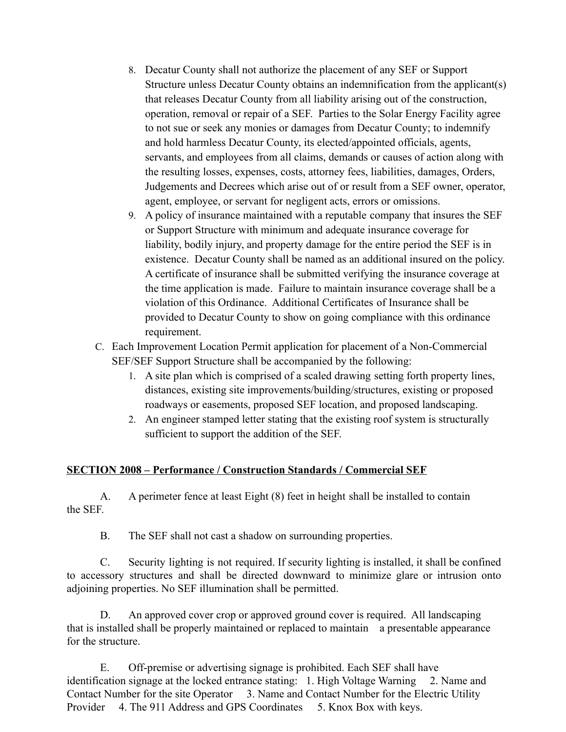- 8. Decatur County shall not authorize the placement of any SEF or Support Structure unless Decatur County obtains an indemnification from the applicant(s) that releases Decatur County from all liability arising out of the construction, operation, removal or repair of a SEF. Parties to the Solar Energy Facility agree to not sue or seek any monies or damages from Decatur County; to indemnify and hold harmless Decatur County, its elected/appointed officials, agents, servants, and employees from all claims, demands or causes of action along with the resulting losses, expenses, costs, attorney fees, liabilities, damages, Orders, Judgements and Decrees which arise out of or result from a SEF owner, operator, agent, employee, or servant for negligent acts, errors or omissions.
- 9. A policy of insurance maintained with a reputable company that insures the SEF or Support Structure with minimum and adequate insurance coverage for liability, bodily injury, and property damage for the entire period the SEF is in existence. Decatur County shall be named as an additional insured on the policy. A certificate of insurance shall be submitted verifying the insurance coverage at the time application is made. Failure to maintain insurance coverage shall be a violation of this Ordinance. Additional Certificates of Insurance shall be provided to Decatur County to show on going compliance with this ordinance requirement.
- C. Each Improvement Location Permit application for placement of a Non-Commercial SEF/SEF Support Structure shall be accompanied by the following:
	- 1. A site plan which is comprised of a scaled drawing setting forth property lines, distances, existing site improvements/building/structures, existing or proposed roadways or easements, proposed SEF location, and proposed landscaping.
	- 2. An engineer stamped letter stating that the existing roof system is structurally sufficient to support the addition of the SEF.

# **SECTION 2008 – Performance / Construction Standards / Commercial SEF**

A. A perimeter fence at least Eight (8) feet in height shall be installed to contain the SEF.

B. The SEF shall not cast a shadow on surrounding properties.

C. Security lighting is not required. If security lighting is installed, it shall be confined to accessory structures and shall be directed downward to minimize glare or intrusion onto adjoining properties. No SEF illumination shall be permitted.

D. An approved cover crop or approved ground cover is required. All landscaping that is installed shall be properly maintained or replaced to maintain a presentable appearance for the structure.

E. Off-premise or advertising signage is prohibited. Each SEF shall have identification signage at the locked entrance stating: 1. High Voltage Warning 2. Name and Contact Number for the site Operator 3. Name and Contact Number for the Electric Utility Provider 4. The 911 Address and GPS Coordinates 5. Knox Box with keys.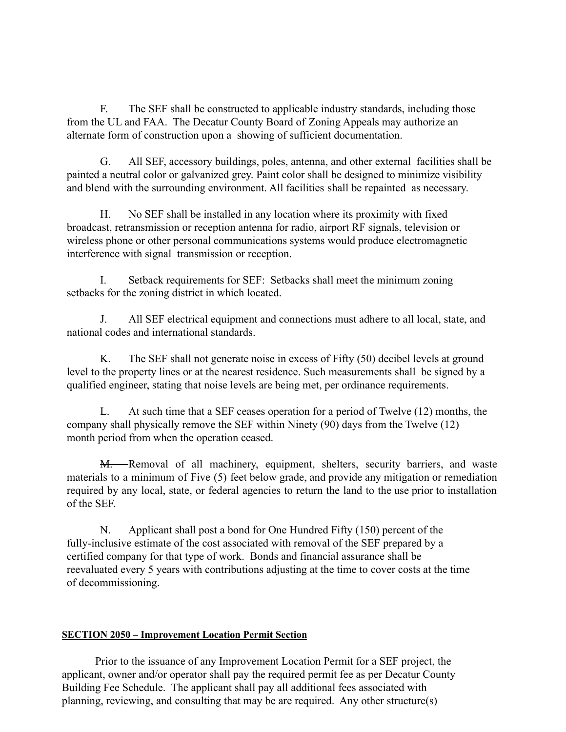F. The SEF shall be constructed to applicable industry standards, including those from the UL and FAA. The Decatur County Board of Zoning Appeals may authorize an alternate form of construction upon a showing of sufficient documentation.

G. All SEF, accessory buildings, poles, antenna, and other external facilities shall be painted a neutral color or galvanized grey. Paint color shall be designed to minimize visibility and blend with the surrounding environment. All facilities shall be repainted as necessary.

H. No SEF shall be installed in any location where its proximity with fixed broadcast, retransmission or reception antenna for radio, airport RF signals, television or wireless phone or other personal communications systems would produce electromagnetic interference with signal transmission or reception.

I. Setback requirements for SEF: Setbacks shall meet the minimum zoning setbacks for the zoning district in which located.

J. All SEF electrical equipment and connections must adhere to all local, state, and national codes and international standards.

K. The SEF shall not generate noise in excess of Fifty (50) decibel levels at ground level to the property lines or at the nearest residence. Such measurements shall be signed by a qualified engineer, stating that noise levels are being met, per ordinance requirements.

L. At such time that a SEF ceases operation for a period of Twelve (12) months, the company shall physically remove the SEF within Ninety (90) days from the Twelve (12) month period from when the operation ceased.

M. Removal of all machinery, equipment, shelters, security barriers, and waste materials to a minimum of Five (5) feet below grade, and provide any mitigation or remediation required by any local, state, or federal agencies to return the land to the use prior to installation of the SEF.

N. Applicant shall post a bond for One Hundred Fifty (150) percent of the fully-inclusive estimate of the cost associated with removal of the SEF prepared by a certified company for that type of work. Bonds and financial assurance shall be reevaluated every 5 years with contributions adjusting at the time to cover costs at the time of decommissioning.

### **SECTION 2050 – Improvement Location Permit Section**

Prior to the issuance of any Improvement Location Permit for a SEF project, the applicant, owner and/or operator shall pay the required permit fee as per Decatur County Building Fee Schedule. The applicant shall pay all additional fees associated with planning, reviewing, and consulting that may be are required. Any other structure(s)